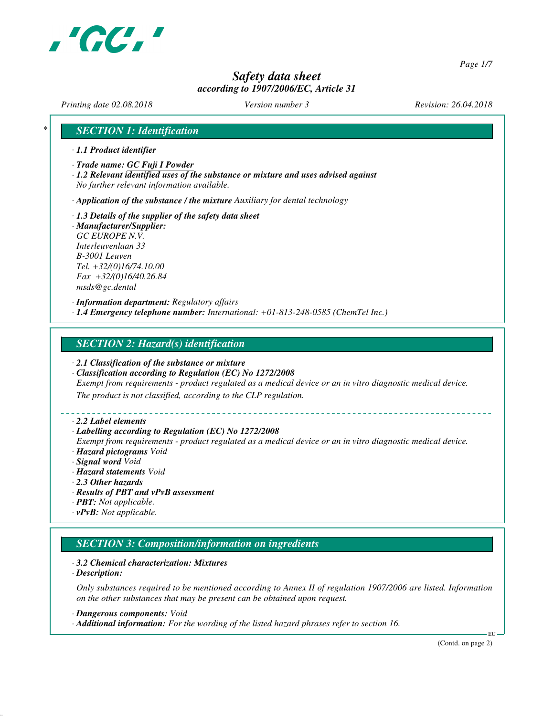

*Page 1/7*

## *Safety data sheet according to 1907/2006/EC, Article 31*

*Printing date 02.08.2018 Version number 3 Revision: 26.04.2018*

## *\* SECTION 1: Identification*

- *· 1.1 Product identifier*
- *· Trade name: GC Fuji I Powder*
- *· 1.2 Relevant identified uses of the substance or mixture and uses advised against No further relevant information available.*

*· Application of the substance / the mixture Auxiliary for dental technology*

- *· 1.3 Details of the supplier of the safety data sheet*
- *· Manufacturer/Supplier: GC EUROPE N.V. Interleuvenlaan 33 B-3001 Leuven Tel. +32/(0)16/74.10.00 Fax +32/(0)16/40.26.84 msds@gc.dental*

*· Information department: Regulatory affairs · 1.4 Emergency telephone number: International: +01-813-248-0585 (ChemTel Inc.)*

## *SECTION 2: Hazard(s) identification*

- *· 2.1 Classification of the substance or mixture*
- *· Classification according to Regulation (EC) No 1272/2008*

*Exempt from requirements - product regulated as a medical device or an in vitro diagnostic medical device.*

*The product is not classified, according to the CLP regulation.*

### *· 2.2 Label elements*

### *· Labelling according to Regulation (EC) No 1272/2008*

*Exempt from requirements - product regulated as a medical device or an in vitro diagnostic medical device. · Hazard pictograms Void*

- *· Signal word Void*
- *· Hazard statements Void*
- *· 2.3 Other hazards*
- *· Results of PBT and vPvB assessment*
- *· PBT: Not applicable.*
- *· vPvB: Not applicable.*

## *SECTION 3: Composition/information on ingredients*

### *· 3.2 Chemical characterization: Mixtures*

*· Description:*

*Only substances required to be mentioned according to Annex II of regulation 1907/2006 are listed. Information on the other substances that may be present can be obtained upon request.*

*· Dangerous components: Void*

*· Additional information: For the wording of the listed hazard phrases refer to section 16.*

(Contd. on page 2)

EU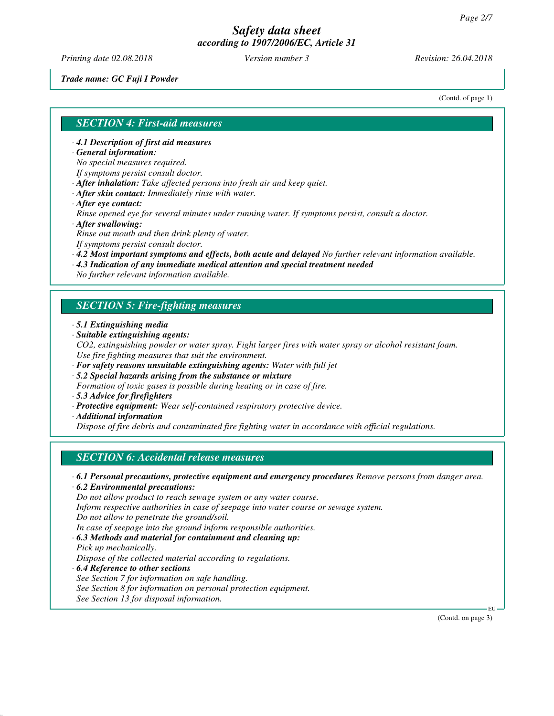*Printing date 02.08.2018 Version number 3 Revision: 26.04.2018*

*Trade name: GC Fuji I Powder*

(Contd. of page 1)

## *SECTION 4: First-aid measures*

*· 4.1 Description of first aid measures*

*· General information:*

*No special measures required.*

*If symptoms persist consult doctor.*

*· After inhalation: Take affected persons into fresh air and keep quiet.*

- *· After skin contact: Immediately rinse with water.*
- *· After eye contact:*

*Rinse opened eye for several minutes under running water. If symptoms persist, consult a doctor. · After swallowing:*

*Rinse out mouth and then drink plenty of water.*

*If symptoms persist consult doctor.*

- *· 4.2 Most important symptoms and effects, both acute and delayed No further relevant information available.*
- *· 4.3 Indication of any immediate medical attention and special treatment needed*

*No further relevant information available.*

## *SECTION 5: Fire-fighting measures*

- *· 5.1 Extinguishing media*
- *· Suitable extinguishing agents:*
- *CO2, extinguishing powder or water spray. Fight larger fires with water spray or alcohol resistant foam. Use fire fighting measures that suit the environment.*
- *· For safety reasons unsuitable extinguishing agents: Water with full jet*
- *· 5.2 Special hazards arising from the substance or mixture*
- *Formation of toxic gases is possible during heating or in case of fire.*
- *· 5.3 Advice for firefighters*
- *· Protective equipment: Wear self-contained respiratory protective device.*
- *· Additional information*

*Dispose of fire debris and contaminated fire fighting water in accordance with official regulations.*

## *SECTION 6: Accidental release measures*

*· 6.1 Personal precautions, protective equipment and emergency procedures Remove persons from danger area.*

*· 6.2 Environmental precautions:*

*Do not allow product to reach sewage system or any water course.*

*Inform respective authorities in case of seepage into water course or sewage system.*

*Do not allow to penetrate the ground/soil.*

*In case of seepage into the ground inform responsible authorities.*

*· 6.3 Methods and material for containment and cleaning up:*

- *Pick up mechanically. Dispose of the collected material according to regulations.*
- *· 6.4 Reference to other sections See Section 7 for information on safe handling. See Section 8 for information on personal protection equipment. See Section 13 for disposal information.*

(Contd. on page 3)

EU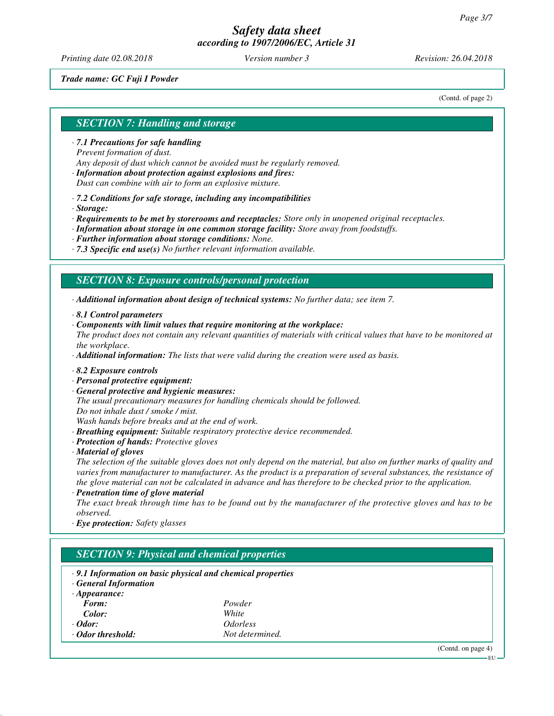*Printing date 02.08.2018 Version number 3 Revision: 26.04.2018*

### *Trade name: GC Fuji I Powder*

(Contd. of page 2)

## *SECTION 7: Handling and storage*

- *· 7.1 Precautions for safe handling Prevent formation of dust. Any deposit of dust which cannot be avoided must be regularly removed.*
- *· Information about protection against explosions and fires: Dust can combine with air to form an explosive mixture.*
- *· 7.2 Conditions for safe storage, including any incompatibilities*
- *· Storage:*

*· Requirements to be met by storerooms and receptacles: Store only in unopened original receptacles.*

- *· Information about storage in one common storage facility: Store away from foodstuffs.*
- *· Further information about storage conditions: None.*
- *· 7.3 Specific end use(s) No further relevant information available.*

## *SECTION 8: Exposure controls/personal protection*

*· Additional information about design of technical systems: No further data; see item 7.*

- *· 8.1 Control parameters*
- *· Components with limit values that require monitoring at the workplace:*
- *The product does not contain any relevant quantities of materials with critical values that have to be monitored at the workplace.*

*· Additional information: The lists that were valid during the creation were used as basis.*

- *· 8.2 Exposure controls*
- *· Personal protective equipment:*
- *· General protective and hygienic measures:*

*The usual precautionary measures for handling chemicals should be followed. Do not inhale dust / smoke / mist.*

*Wash hands before breaks and at the end of work.*

- *· Breathing equipment: Suitable respiratory protective device recommended.*
- *· Protection of hands: Protective gloves*
- *· Material of gloves*

*The selection of the suitable gloves does not only depend on the material, but also on further marks of quality and varies from manufacturer to manufacturer. As the product is a preparation of several substances, the resistance of the glove material can not be calculated in advance and has therefore to be checked prior to the application.*

*· Penetration time of glove material*

*The exact break through time has to be found out by the manufacturer of the protective gloves and has to be observed.*

*· Eye protection: Safety glasses*

# *SECTION 9: Physical and chemical properties*

- *· 9.1 Information on basic physical and chemical properties*
- *· General Information*

| $\cdot$ Appearance: |                        |
|---------------------|------------------------|
| Form:               | Powder                 |
| Color:              | White                  |
| $\cdot$ Odor:       | <i><b>Odorless</b></i> |
| ⋅ Odor threshold:   | Not determined.        |

(Contd. on page 4)

EU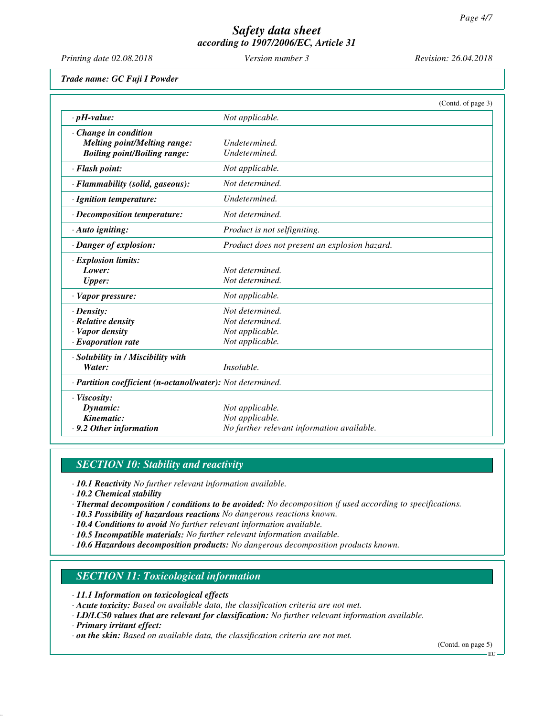*Printing date 02.08.2018 Version number 3 Revision: 26.04.2018*

*Trade name: GC Fuji I Powder*

|                                                            |                                               | (Contd. of page 3) |
|------------------------------------------------------------|-----------------------------------------------|--------------------|
| $\cdot$ pH-value:                                          | Not applicable.                               |                    |
| $\cdot$ Change in condition                                |                                               |                    |
| <b>Melting point/Melting range:</b>                        | Undetermined.                                 |                    |
| <b>Boiling point/Boiling range:</b>                        | Undetermined.                                 |                    |
| · Flash point:                                             | Not applicable.                               |                    |
| · Flammability (solid, gaseous):                           | Not determined.                               |                    |
| $\cdot$ Ignition temperature:                              | Undetermined.                                 |                    |
| $\cdot$ Decomposition temperature:                         | Not determined.                               |                    |
| $\cdot$ Auto igniting:                                     | Product is not selfigniting.                  |                    |
| · Danger of explosion:                                     | Product does not present an explosion hazard. |                    |
| · Explosion limits:                                        |                                               |                    |
| Lower:                                                     | Not determined.                               |                    |
| <b>Upper:</b>                                              | Not determined.                               |                    |
| $\cdot$ Vapor pressure:                                    | Not applicable.                               |                    |
| $\cdot$ Density:                                           | Not determined.                               |                    |
| · Relative density                                         | Not determined.                               |                    |
| · Vapor density                                            | Not applicable.                               |                    |
| $\cdot$ Evaporation rate                                   | Not applicable.                               |                    |
| · Solubility in / Miscibility with                         |                                               |                    |
| Water:                                                     | Insoluble.                                    |                    |
| · Partition coefficient (n-octanol/water): Not determined. |                                               |                    |
| · Viscosity:                                               |                                               |                    |
| Dynamic:                                                   | Not applicable.                               |                    |
| Kinematic:                                                 | Not applicable.                               |                    |
| .9.2 Other information                                     | No further relevant information available.    |                    |

# *SECTION 10: Stability and reactivity*

*· 10.1 Reactivity No further relevant information available.*

*· 10.2 Chemical stability*

*· Thermal decomposition / conditions to be avoided: No decomposition if used according to specifications.*

*· 10.3 Possibility of hazardous reactions No dangerous reactions known.*

*· 10.4 Conditions to avoid No further relevant information available.*

- *· 10.5 Incompatible materials: No further relevant information available.*
- *· 10.6 Hazardous decomposition products: No dangerous decomposition products known.*

## *SECTION 11: Toxicological information*

- *· 11.1 Information on toxicological effects*
- *· Acute toxicity: Based on available data, the classification criteria are not met.*
- *· LD/LC50 values that are relevant for classification: No further relevant information available.*
- *· Primary irritant effect:*
- *· on the skin: Based on available data, the classification criteria are not met.*

(Contd. on page 5) EU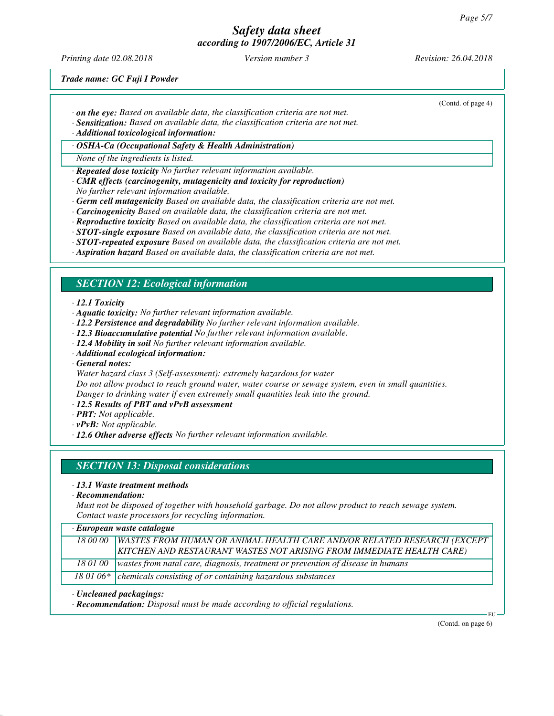*Printing date 02.08.2018 Version number 3 Revision: 26.04.2018*

(Contd. of page 4)

*Trade name: GC Fuji I Powder*

- *· on the eye: Based on available data, the classification criteria are not met.*
- *· Sensitization: Based on available data, the classification criteria are not met.*

*· Additional toxicological information:*

*· OSHA-Ca (Occupational Safety & Health Administration)*

*None of the ingredients is listed.*

*· Repeated dose toxicity No further relevant information available.*

- *· CMR effects (carcinogenity, mutagenicity and toxicity for reproduction) No further relevant information available.*
- *· Germ cell mutagenicity Based on available data, the classification criteria are not met.*
- *· Carcinogenicity Based on available data, the classification criteria are not met.*
- *· Reproductive toxicity Based on available data, the classification criteria are not met.*
- *· STOT-single exposure Based on available data, the classification criteria are not met.*
- *· STOT-repeated exposure Based on available data, the classification criteria are not met.*
- *· Aspiration hazard Based on available data, the classification criteria are not met.*

## *SECTION 12: Ecological information*

*· 12.1 Toxicity*

- *· Aquatic toxicity: No further relevant information available.*
- *· 12.2 Persistence and degradability No further relevant information available.*
- *· 12.3 Bioaccumulative potential No further relevant information available.*
- *· 12.4 Mobility in soil No further relevant information available.*
- *· Additional ecological information:*

*· General notes:*

*Water hazard class 3 (Self-assessment): extremely hazardous for water*

*Do not allow product to reach ground water, water course or sewage system, even in small quantities. Danger to drinking water if even extremely small quantities leak into the ground.*

- *· 12.5 Results of PBT and vPvB assessment*
- *· PBT: Not applicable.*
- *· vPvB: Not applicable.*
- *· 12.6 Other adverse effects No further relevant information available.*

## *SECTION 13: Disposal considerations*

### *· 13.1 Waste treatment methods*

*· Recommendation:*

*Must not be disposed of together with household garbage. Do not allow product to reach sewage system. Contact waste processors for recycling information.*

| · European waste catalogue |  |  |
|----------------------------|--|--|
|----------------------------|--|--|

| 18 00 00 WASTES FROM HUMAN OR ANIMAL HEALTH CARE AND/OR RELATED RESEARCH (EXCEPT<br>KITCHEN AND RESTAURANT WASTES NOT ARISING FROM IMMEDIATE HEALTH CARE) |
|-----------------------------------------------------------------------------------------------------------------------------------------------------------|
| 18 01 00   wastes from natal care, diagnosis, treatment or prevention of disease in humans                                                                |
| 18 01 06* chemicals consisting of or containing hazardous substances                                                                                      |

### *· Uncleaned packagings:*

*· Recommendation: Disposal must be made according to official regulations.*

(Contd. on page 6)

EU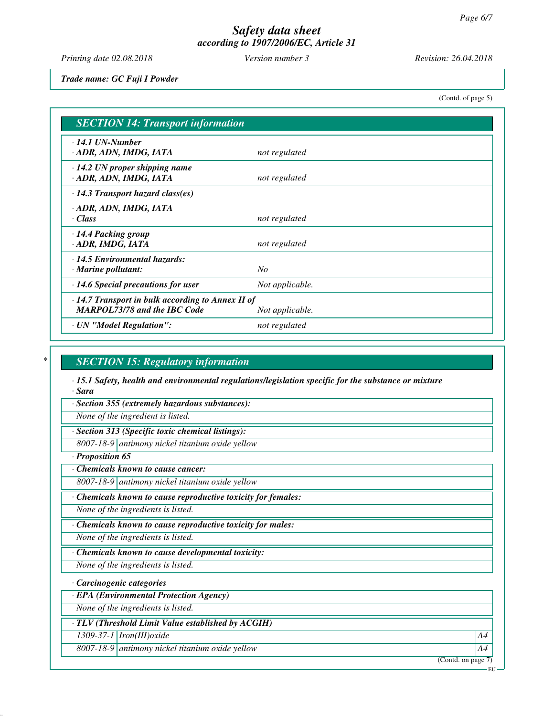*Printing date 02.08.2018 Version number 3 Revision: 26.04.2018*

*Trade name: GC Fuji I Powder*

(Contd. of page 5)

| <b>SECTION 14: Transport information</b>                                                                          |                 |  |
|-------------------------------------------------------------------------------------------------------------------|-----------------|--|
| $\cdot$ 14.1 UN-Number<br>· ADR, ADN, IMDG, IATA                                                                  | not regulated   |  |
| $\cdot$ 14.2 UN proper shipping name<br>· ADR, ADN, IMDG, IATA                                                    | not regulated   |  |
| $\cdot$ 14.3 Transport hazard class(es)                                                                           |                 |  |
| · ADR, ADN, IMDG, IATA<br>· Class                                                                                 | not regulated   |  |
| · 14.4 Packing group<br>· ADR, IMDG, IATA                                                                         | not regulated   |  |
| $\cdot$ 14.5 Environmental hazards:<br>· Marine pollutant:                                                        | N <sub>O</sub>  |  |
| $\cdot$ 14.6 Special precautions for user                                                                         | Not applicable. |  |
| $\cdot$ 14.7 Transport in bulk according to Annex II of<br><b>MARPOL73/78 and the IBC Code</b><br>Not applicable. |                 |  |
| · UN "Model Regulation":                                                                                          | not regulated   |  |

## *\* SECTION 15: Regulatory information*

*· 15.1 Safety, health and environmental regulations/legislation specific for the substance or mixture · Sara*

*· Section 355 (extremely hazardous substances):*

*None of the ingredient is listed.*

*· Section 313 (Specific toxic chemical listings):*

*8007-18-9 antimony nickel titanium oxide yellow*

*· Proposition 65*

*· Chemicals known to cause cancer:*

*8007-18-9 antimony nickel titanium oxide yellow*

*· Chemicals known to cause reproductive toxicity for females:*

*None of the ingredients is listed.*

*· Chemicals known to cause reproductive toxicity for males:*

*None of the ingredients is listed.*

*· Chemicals known to cause developmental toxicity:*

*None of the ingredients is listed.*

*· Carcinogenic categories*

*· EPA (Environmental Protection Agency)*

*None of the ingredients is listed.*

*· TLV (Threshold Limit Value established by ACGIH)*

*1309-37-1 Iron(III)oxide A4*

*8007-18-9 antimony nickel titanium oxide yellow A4*

(Contd. on page 7)

EU